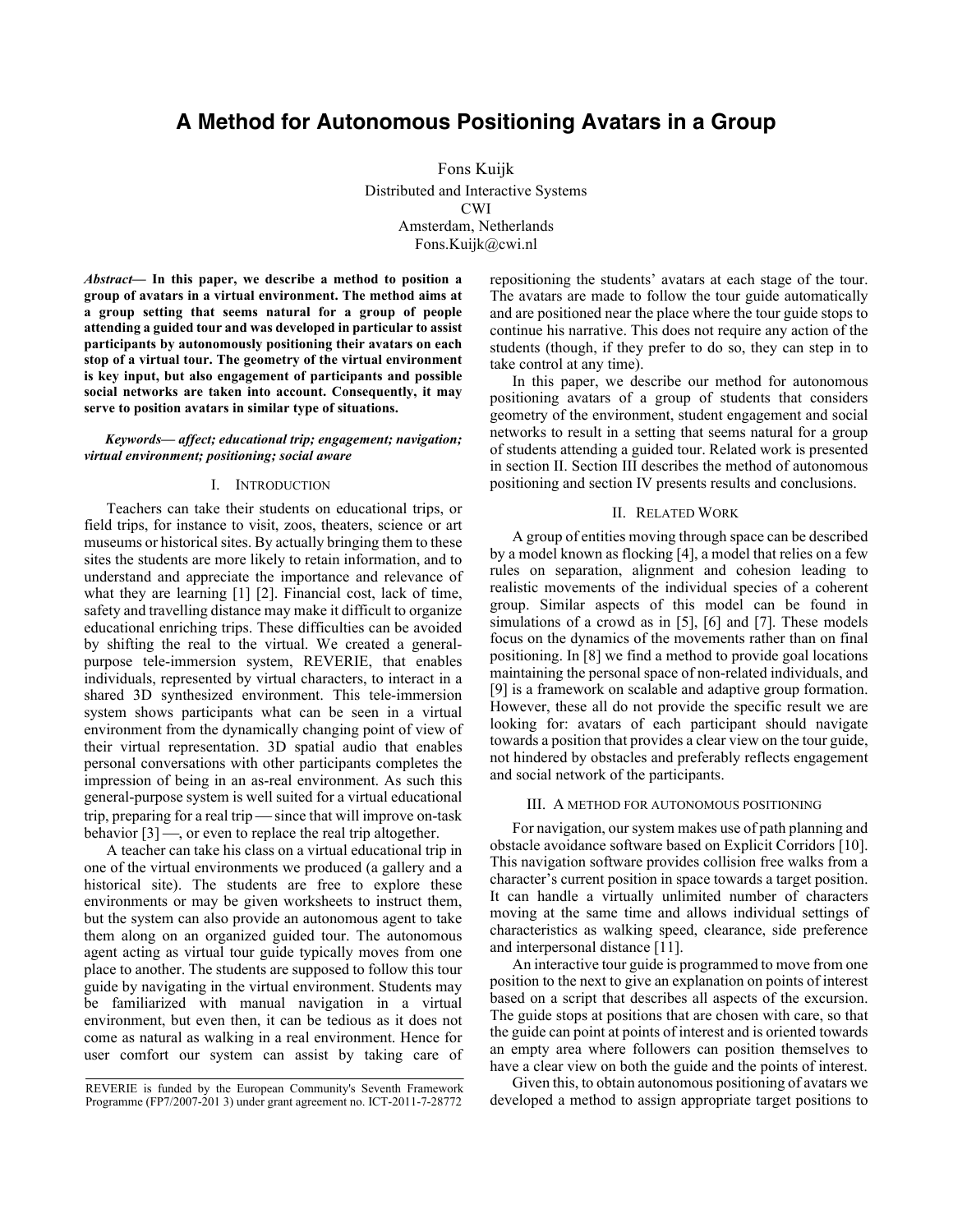# **A Method for Autonomous Positioning Avatars in a Group**

Fons Kuijk Distributed and Interactive Systems CWI Amsterdam, Netherlands Fons.Kuijk@cwi.nl

*Abstract***— In this paper, we describe a method to position a group of avatars in a virtual environment. The method aims at a group setting that seems natural for a group of people attending a guided tour and was developed in particular to assist participants by autonomously positioning their avatars on each stop of a virtual tour. The geometry of the virtual environment is key input, but also engagement of participants and possible social networks are taken into account. Consequently, it may serve to position avatars in similar type of situations.**

### *Keywords— affect; educational trip; engagement; navigation; virtual environment; positioning; social aware*

## I. INTRODUCTION

Teachers can take their students on educational trips, or field trips, for instance to visit, zoos, theaters, science or art museums or historical sites. By actually bringing them to these sites the students are more likely to retain information, and to understand and appreciate the importance and relevance of what they are learning [1] [2]. Financial cost, lack of time, safety and travelling distance may make it difficult to organize educational enriching trips. These difficulties can be avoided by shifting the real to the virtual. We created a generalpurpose tele-immersion system, REVERIE, that enables individuals, represented by virtual characters, to interact in a shared 3D synthesized environment. This tele-immersion system shows participants what can be seen in a virtual environment from the dynamically changing point of view of their virtual representation. 3D spatial audio that enables personal conversations with other participants completes the impression of being in an as-real environment. As such this general-purpose system is well suited for a virtual educational trip, preparing for a real trip  $\frac{1}{\sqrt{2}}$  since that will improve on-task behavior  $[3]$  —, or even to replace the real trip altogether.

A teacher can take his class on a virtual educational trip in one of the virtual environments we produced (a gallery and a historical site). The students are free to explore these environments or may be given worksheets to instruct them, but the system can also provide an autonomous agent to take them along on an organized guided tour. The autonomous agent acting as virtual tour guide typically moves from one place to another. The students are supposed to follow this tour guide by navigating in the virtual environment. Students may be familiarized with manual navigation in a virtual environment, but even then, it can be tedious as it does not come as natural as walking in a real environment. Hence for user comfort our system can assist by taking care of repositioning the students' avatars at each stage of the tour. The avatars are made to follow the tour guide automatically and are positioned near the place where the tour guide stops to continue his narrative. This does not require any action of the students (though, if they prefer to do so, they can step in to take control at any time).

In this paper, we describe our method for autonomous positioning avatars of a group of students that considers geometry of the environment, student engagement and social networks to result in a setting that seems natural for a group of students attending a guided tour. Related work is presented in section II. Section III describes the method of autonomous positioning and section IV presents results and conclusions.

# II. RELATED WORK

A group of entities moving through space can be described by a model known as flocking [4], a model that relies on a few rules on separation, alignment and cohesion leading to realistic movements of the individual species of a coherent group. Similar aspects of this model can be found in simulations of a crowd as in [5], [6] and [7]. These models focus on the dynamics of the movements rather than on final positioning. In [8] we find a method to provide goal locations maintaining the personal space of non-related individuals, and [9] is a framework on scalable and adaptive group formation. However, these all do not provide the specific result we are looking for: avatars of each participant should navigate towards a position that provides a clear view on the tour guide, not hindered by obstacles and preferably reflects engagement and social network of the participants.

# III. A METHOD FOR AUTONOMOUS POSITIONING

For navigation, our system makes use of path planning and obstacle avoidance software based on Explicit Corridors [10]. This navigation software provides collision free walks from a character's current position in space towards a target position. It can handle a virtually unlimited number of characters moving at the same time and allows individual settings of characteristics as walking speed, clearance, side preference and interpersonal distance [11].

An interactive tour guide is programmed to move from one position to the next to give an explanation on points of interest based on a script that describes all aspects of the excursion. The guide stops at positions that are chosen with care, so that the guide can point at points of interest and is oriented towards an empty area where followers can position themselves to have a clear view on both the guide and the points of interest.

Given this, to obtain autonomous positioning of avatars we developed a method to assign appropriate target positions to

REVERIE is funded by the European Community's Seventh Framework Programme (FP7/2007-201 3) under grant agreement no. ICT-2011-7-28772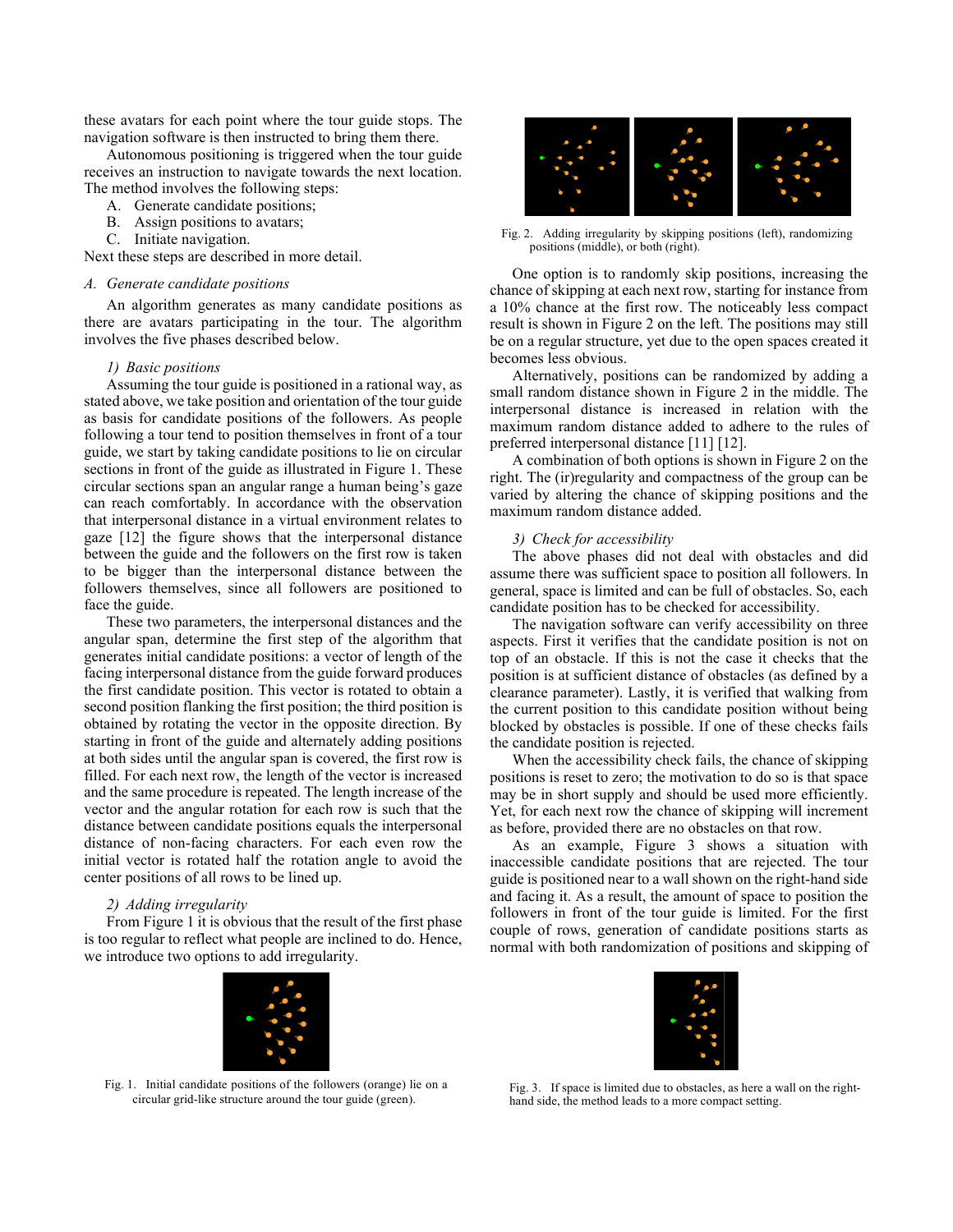these avatars for each point where the tour guide stops. The navigation software is then instructed to bring them there.

Autonomous positioning is triggered when the tour guide receives an instruction to navigate towards the next location. The method involves the following steps:

- A. Generate candidate positions;
- B. Assign positions to avatars;
- C. Initiate navigation.

Next these steps are described in more detail.

# *A. Generate candidate positions*

An algorithm generates as many candidate positions as there are avatars participating in the tour. The algorithm involves the five phases described below.

## *1) Basic positions*

Assuming the tour guide is positioned in a rational way, as stated above, we take position and orientation of the tour guide as basis for candidate positions of the followers. As people following a tour tend to position themselves in front of a tour guide, we start by taking candidate positions to lie on circular sections in front of the guide as illustrated in Figure 1. These circular sections span an angular range a human being's gaze can reach comfortably. In accordance with the observation that interpersonal distance in a virtual environment relates to gaze [12] the figure shows that the interpersonal distance between the guide and the followers on the first row is taken to be bigger than the interpersonal distance between the followers themselves, since all followers are positioned to face the guide.

These two parameters, the interpersonal distances and the angular span, determine the first step of the algorithm that generates initial candidate positions: a vector of length of the facing interpersonal distance from the guide forward produces the first candidate position. This vector is rotated to obtain a second position flanking the first position; the third position is obtained by rotating the vector in the opposite direction. By starting in front of the guide and alternately adding positions at both sides until the angular span is covered, the first row is filled. For each next row, the length of the vector is increased and the same procedure is repeated. The length increase of the vector and the angular rotation for each row is such that the distance between candidate positions equals the interpersonal distance of non-facing characters. For each even row the initial vector is rotated half the rotation angle to avoid the center positions of all rows to be lined up.

## *2) Adding irregularity*

From Figure 1 it is obvious that the result of the first phase is too regular to reflect what people are inclined to do. Hence, we introduce two options to add irregularity.



Fig. 2. Adding irregularity by skipping positions (left), randomizing positions (middle), or both (right).

One option is to randomly skip positions, increasing the chance of skipping at each next row, starting for instance from a 10% chance at the first row. The noticeably less compact result is shown in Figure 2 on the left. The positions may still be on a regular structure, yet due to the open spaces created it becomes less obvious.

Alternatively, positions can be randomized by adding a small random distance shown in Figure 2 in the middle. The interpersonal distance is increased in relation with the maximum random distance added to adhere to the rules of preferred interpersonal distance [11] [12].

A combination of both options is shown in Figure 2 on the right. The (ir)regularity and compactness of the group can be varied by altering the chance of skipping positions and the maximum random distance added.

# *3) Check for accessibility*

The above phases did not deal with obstacles and did assume there was sufficient space to position all followers. In general, space is limited and can be full of obstacles. So, each candidate position has to be checked for accessibility.

The navigation software can verify accessibility on three aspects. First it verifies that the candidate position is not on top of an obstacle. If this is not the case it checks that the position is at sufficient distance of obstacles (as defined by a clearance parameter). Lastly, it is verified that walking from the current position to this candidate position without being blocked by obstacles is possible. If one of these checks fails the candidate position is rejected.

When the accessibility check fails, the chance of skipping positions is reset to zero; the motivation to do so is that space may be in short supply and should be used more efficiently. Yet, for each next row the chance of skipping will increment as before, provided there are no obstacles on that row.

As an example, Figure 3 shows a situation with inaccessible candidate positions that are rejected. The tour guide is positioned near to a wall shown on the right-hand side and facing it. As a result, the amount of space to position the followers in front of the tour guide is limited. For the first couple of rows, generation of candidate positions starts as normal with both randomization of positions and skipping of



Fig. 1. Initial candidate positions of the followers (orange) lie on a circular grid-like structure around the tour guide (green).



Fig. 3. If space is limited due to obstacles, as here a wall on the righthand side, the method leads to a more compact setting.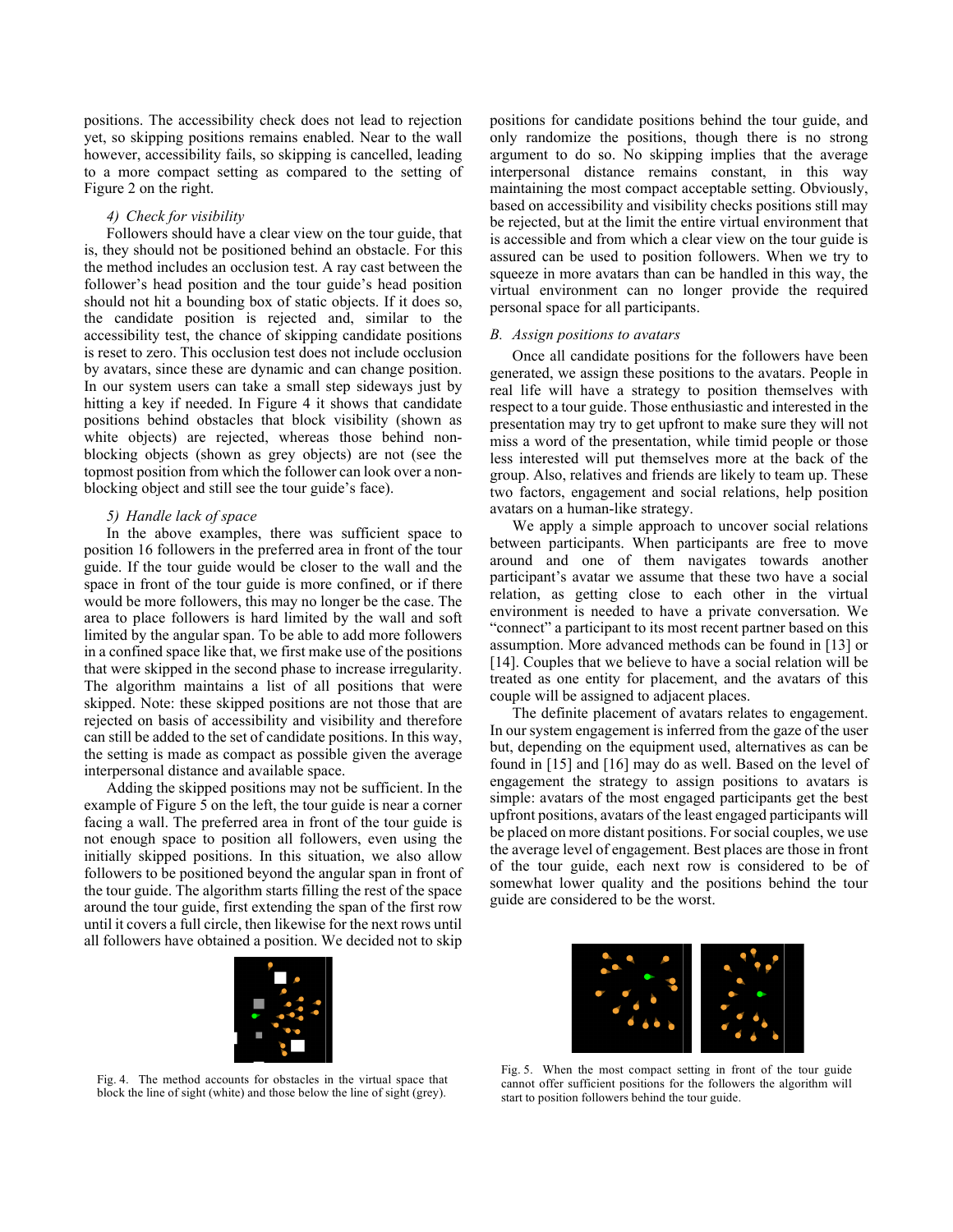positions. The accessibility check does not lead to rejection yet, so skipping positions remains enabled. Near to the wall however, accessibility fails, so skipping is cancelled, leading to a more compact setting as compared to the setting of Figure 2 on the right.

#### *4) Check for visibility*

Followers should have a clear view on the tour guide, that is, they should not be positioned behind an obstacle. For this the method includes an occlusion test. A ray cast between the follower's head position and the tour guide's head position should not hit a bounding box of static objects. If it does so, the candidate position is rejected and, similar to the accessibility test, the chance of skipping candidate positions is reset to zero. This occlusion test does not include occlusion by avatars, since these are dynamic and can change position. In our system users can take a small step sideways just by hitting a key if needed. In Figure 4 it shows that candidate positions behind obstacles that block visibility (shown as white objects) are rejected, whereas those behind nonblocking objects (shown as grey objects) are not (see the topmost position from which the follower can look over a nonblocking object and still see the tour guide's face).

#### *5) Handle lack of space*

In the above examples, there was sufficient space to position 16 followers in the preferred area in front of the tour guide. If the tour guide would be closer to the wall and the space in front of the tour guide is more confined, or if there would be more followers, this may no longer be the case. The area to place followers is hard limited by the wall and soft limited by the angular span. To be able to add more followers in a confined space like that, we first make use of the positions that were skipped in the second phase to increase irregularity. The algorithm maintains a list of all positions that were skipped. Note: these skipped positions are not those that are rejected on basis of accessibility and visibility and therefore can still be added to the set of candidate positions. In this way, the setting is made as compact as possible given the average interpersonal distance and available space.

Adding the skipped positions may not be sufficient. In the example of Figure 5 on the left, the tour guide is near a corner facing a wall. The preferred area in front of the tour guide is not enough space to position all followers, even using the initially skipped positions. In this situation, we also allow followers to be positioned beyond the angular span in front of the tour guide. The algorithm starts filling the rest of the space around the tour guide, first extending the span of the first row until it covers a full circle, then likewise for the next rows until all followers have obtained a position. We decided not to skip



Fig. 4. The method accounts for obstacles in the virtual space that block the line of sight (white) and those below the line of sight (grey).

positions for candidate positions behind the tour guide, and only randomize the positions, though there is no strong argument to do so. No skipping implies that the average interpersonal distance remains constant, in this way maintaining the most compact acceptable setting. Obviously, based on accessibility and visibility checks positions still may be rejected, but at the limit the entire virtual environment that is accessible and from which a clear view on the tour guide is assured can be used to position followers. When we try to squeeze in more avatars than can be handled in this way, the virtual environment can no longer provide the required personal space for all participants.

## *B. Assign positions to avatars*

Once all candidate positions for the followers have been generated, we assign these positions to the avatars. People in real life will have a strategy to position themselves with respect to a tour guide. Those enthusiastic and interested in the presentation may try to get upfront to make sure they will not miss a word of the presentation, while timid people or those less interested will put themselves more at the back of the group. Also, relatives and friends are likely to team up. These two factors, engagement and social relations, help position avatars on a human-like strategy.

We apply a simple approach to uncover social relations between participants. When participants are free to move around and one of them navigates towards another participant's avatar we assume that these two have a social relation, as getting close to each other in the virtual environment is needed to have a private conversation. We "connect" a participant to its most recent partner based on this assumption. More advanced methods can be found in [13] or [14]. Couples that we believe to have a social relation will be treated as one entity for placement, and the avatars of this couple will be assigned to adjacent places.

The definite placement of avatars relates to engagement. In our system engagement is inferred from the gaze of the user but, depending on the equipment used, alternatives as can be found in [15] and [16] may do as well. Based on the level of engagement the strategy to assign positions to avatars is simple: avatars of the most engaged participants get the best upfront positions, avatars of the least engaged participants will be placed on more distant positions. For social couples, we use the average level of engagement. Best places are those in front of the tour guide, each next row is considered to be of somewhat lower quality and the positions behind the tour guide are considered to be the worst.



Fig. 5. When the most compact setting in front of the tour guide cannot offer sufficient positions for the followers the algorithm will start to position followers behind the tour guide.